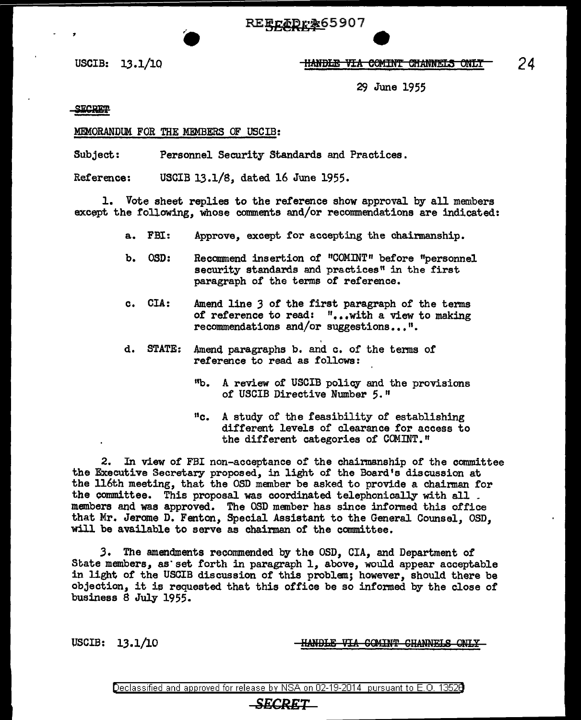REECADr&65907

## USCIB: 13.1/10 **ltanbile via comint channels only**

29 June 1955

SECRET

## MEMORANDUM FOR THE MFMBERS OF USCIB:

Subject: Personnel Security Standards and Practices.

Reference: USCIB 13.1/8, dated 16 June 1955.

1. Vote sheet replies to the reference show approval by all members except the following, whose comments and/or recommendations are indicated:

- a. FBI: Approve, except for accepting the chairmanship.
- b. OSD: Recommend insertion of "COMINT" before "personnel security standards and practices" in the first paragraph of the terms of reference.
- c. CIA: Amend line *3* of the first paragraph of' the terms of reference to read: "...with a view to making recommendations and/or suggestions...".
- d. STATE: Amend paragraphs b. and c. of the terms of reference to read as follows:
	- <sup>11</sup>b. A review of USCIB policy and the provisions of USCIB Directive Number 5."
	- "c. A study of the feasibility of establishing different levels of clearance for access to the different categories of COMINT."

2. In view of FBI non-acceptance of the chairmanship of the committee the Executive Secretary proposed, in light of the Board's discussion at the 116th meeting, that the OSD member be asked to provide a chairman for the committee. This proposal was coordinated telephonically with all \_ members and was approved. The OSD member has since informed this office that Mr. Jerome D. Fenton, Special Assistant to the General Counsel, OSD, will be available to serve as chairman of the committee.

3. The amendments recommended by the OSD, CIA, and Department of State members, as set forth in paragraph 1, above, would appear acceptable in light of the USOIB discussion of this problem; however, should there be objection, it ie requested that this office be so informed by the close of business 8 July 1955.

USCIB: 13 .1/10

**HANDLE VIA COMINT CHANNELS ONLY** 

Declassified and approved for release by NSA on 02-19-2014 pursuant to E. 0. 1352B

## *SECRET*

*24*